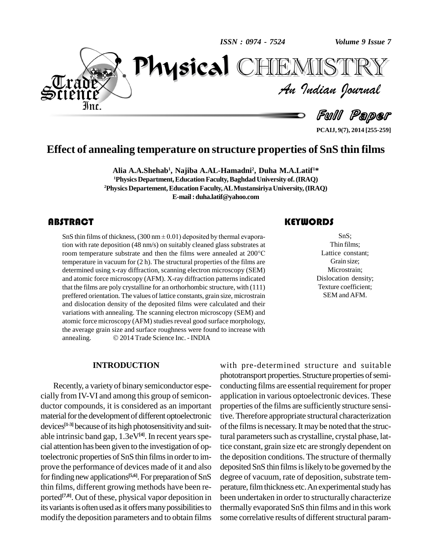*ISSN : 0974 - 7524*

*Volume 9 Issue 7*<br>ISTRY<br>*Indian Iournal Volume 9 Issue 7*



Full Paper

TEMISTR

**PCAIJ, 9(7), 2014 [255-259]**

## **Effect of annealing temperature on structure properties of SnS thin films**

**Alia A.A.Shehab 1 , Najiba A.AL-Hamadni<sup>2</sup> , Duha M.A.Latif <sup>1</sup>\* <sup>1</sup>PhysicsDepartment,EducationFaculty,BaghdadUniversity of.(IRAQ) <sup>2</sup>Physics Departement,Education Faculty,ALMustansiriyaUniversity,(IRAQ) E-mail:[duha.latif@yahoo.com](mailto:duha.latif@yahoo.com)**

SnS thin films of thicknes<br>tion with rate deposition<br>room temperature substi **STRACT**<br>SnS thin films of thickness, (300 nm  $\pm$  0.01) deposited by thermal evaporation with rate deposition (48 nm/s) on suitably cleaned glass substrates at SnS thin films of thickness, (300 nm  $\pm$  0.01) deposited by thermal evaporation with rate deposition (48 nm/s) on suitably cleaned glass substrates at room temperature substrate and then the films were annealed at 200°C temperature in vacuum for (2 h). The structural properties of the films are determined using x-ray diffraction, scanning electron microscopy (SEM) and atomic force microscopy (AFM). X-ray diffraction patterns indicated that the films are poly crystalline for an orthorhombic structure, with (111) preffered orientation. The values of lattice constants, grain size, microstrain and dislocation density of the deposited films were calculated and their variations with annealing. The scanning electron microscopy (SEM) and atomic force microscopy (AFM) studies reveal good surface morphology, the average grain size and surface roughness were found to increase with atomic force microscopy (AFM) studies reveal good surface morph<br>the average grain size and surface roughness were found to increas<br>annealing. © 2014 Trade Science Inc. - INDIA

#### **INTRODUCTION**

Recently, a varietyof binary semiconductor espe cially from IV-VI and among this group of semiconductor compounds, it is considered as an important material for the development of different optoelectronic devices<sup>[1-3]</sup> because of its high photosensitivity and suit- of the able intrinsic band gap, 1.3eV<sup>[4]</sup>. In recent years special attention has been given to the investigation of optoelectronic properties of SnS thin films in order to improve the performance of devices made of it and also for finding new applications<sup>[5,6]</sup>. For preparation of SnS degree of thin films, different growing methods have been re ported<sup>[7,8]</sup>. Out of these, physical vapor deposition in been un its variants is often used as it offers many possibilities to modify the deposition parameters and to obtain films

### **KEYWORDS**

SnS;<br>Thin films;<br>Lattice constant; SnS; Thin films; Grain size; Microstrain; Dislocation density; Texture coefficient; SEM and AFM.

with pre-determined structure and suitable phototransport properties. Structure properties of semiconducting films are essential requirement for proper application in various optoelectronic devices. These properties of the films are sufficiently structure sensitive. Therefore appropriate structural characterization of the films is necessary. It may be noted that the structural parameters such as crystalline, crystal phase, lattice constant, grain size etc are strongly dependent on the deposition conditions. The structure of thermally deposited SnS thin films is likely to be governed by the degree of vacuum, rate of deposition, substrate temperature, film thickness etc. An experimental study has been undertaken in order to structurally characterize thermally evaporated SnS thin films and in this work some correlative results of different structural param-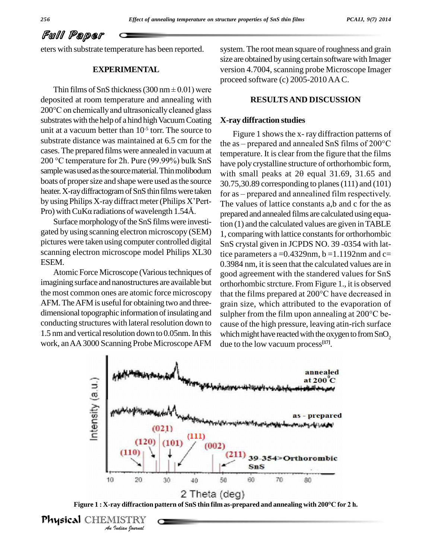# Full Paper

eters with substrate temperature has been reported.

### **EXPERIMENTAL**

Thin films of SnS thickness (300 nm $\pm$  0.01) were deposited at room temperature and annealing with 200°C on chemically and ultrasonically cleaned glass substrates with the help of a hind high Vacuum Coating unit at a vacuum better than  $10^{-5}$  torr. The source to  $_{\rm{Eic}}$ substrate distance was maintained at 6.5 cm for the cases. The prepared films were annealed in vacuum at temperature substrate distance was maintained at 6.5 cm for the<br>cases. The prepared films were annealed in vacuum at<br>200 °C temperature for 2h. Pure (99.99%) bulk SnS boats of proper size and shape were used as the source<br>heater. X-ray diffractogram of SnS thin films were taken<br>by using Philips X-ray diffract meter (Philips X'Pert-The v heater. X-ray diffractogram of SnS thin films were taken for as-<br>by using Philips X-ray diffract meter (Philips X'Pert-<br>Pro) with CuK $\alpha$  radiations of wavelength 1.54Å.

Surface morphology of the SnS films were investigated by using scanning electron microscopy (SEM) pictures were taken using computer controlled digital scanning electron microscope model Philips XL30 ESEM.

Atomic Force Microscope (Various techniques of imagining surface and nanostructures are available but AFM. The AFM is useful for obtaining two and threeconducting structures with lateral resolution down to 1.5 nm and vertical resolution down to 0.05nm. In this work, an AA 3000 Scanning Probe Microscope AFM

system. The root mean square of roughness and grain size are obtained by using certain software with Imager version 4.7004, scanning probe Microscope Imager proceed software (c) 2005-2010AAC.

#### **RESULTSAND DISCUSSION**

#### **X-ray diffraction studies**

sample was used as the source material. Thin molibodum with small peaks at 20 equal 31.69, 31.65 and the most common ones are atomic force microscopy that the films prepared at 200°C have decreased in dimensional topographic information of insulating and sulpher from the film upon annealing at 200°C be-Figure 1 shows the x-ray diffraction patterns of the as – prepared and annealed SnS films of  $200^{\circ}$ C temperature. It is clear from the figure that the films<br>have poly crystalline structure of orthorhombic form,<br>with small peaks at  $2\theta$  equal  $31.69$ ,  $31.65$  and have poly crystalline structure of orthorhombic form, 30.75,30.89 corresponding to planes(111) and (101) for as – prepared and annealined film respectively. The values of lattice constants a,b and c for the as prepared and annealed films are calculated using equation (1) and the calculated values are given inTABLE 1, comparing with lattice constants for orthorhombic SnS crystal given in JCPDS NO. 39 -0354 with lattice parameters a =  $0.4329$ nm, b =  $1.1192$ nm and c= 0.3984 nm, it is seen that the calculated values are in good agreement with the standered values for SnS orthorhombic strcture. From Figure 1., it is observed good agreement with the standered values for SnS<br>orthorhombic strcture. From Figure 1., it is observed<br>that the films prepared at 200°C have decreased in grain size, which attributed to the evaporation of that the films prepared at 200°C have decreased in<br>grain size, which attributed to the evaporation of<br>sulpher from the film upon annealing at 200°C because of the high pressure, leaving atin-rich surface which might have reacted with the oxygen to from  $SnO<sub>2</sub>$ due to the low vacuum process **[17]**.





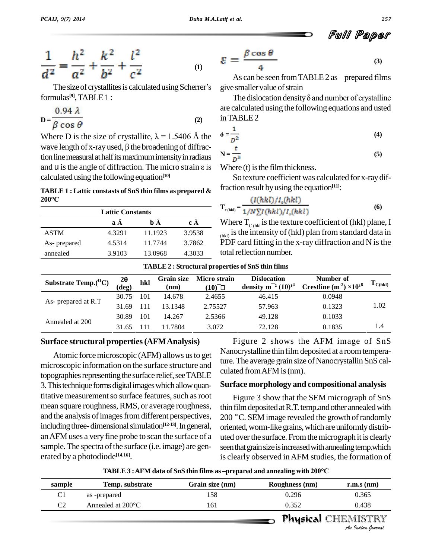$$
\frac{1}{d^2} = \frac{h^2}{a^2} + \frac{k^2}{b^2} + \frac{l^2}{c^2}
$$
 (1)

The size of crystallites is calculated using Scherrer's formulas **[9]**,TABLE1 :

$$
D = \frac{0.94 \lambda}{\beta \cos \theta} \tag{2}
$$

Where D is the size of crystallite,  $\lambda = 1.5406$  Å the **B** cos  $\theta$ <br>Where D is the size of crystallite,  $\lambda = 1.5406$  Å the<br>wave length of x-ray used,  $\beta$  the broadening of diffraction line measural at half its maximum intensity in radiaus wave length of x-ray used,  $\beta$  the broadening of diffraction line measural at half its maximum intensity in radiaus  $N = \frac{1}{L}$ <br>and U is the angle of diffraction. The micro strain  $\varepsilon$  is Whe calculated using the following equation<sup>[10]</sup>

# **TABLE 1 : Lattic constasts of SnS thin films as prepared & <sup>200</sup>°C**

| <b>Lattic Constants</b> |        |         |        |  |  |  |
|-------------------------|--------|---------|--------|--|--|--|
|                         | a A    | h Å     | c Å    |  |  |  |
| <b>ASTM</b>             | 4.3291 | 11.1923 | 3.9538 |  |  |  |
| As- prepared            | 4.5314 | 11.7744 | 3.7862 |  |  |  |
| annealed                | 3.9103 | 13.0968 | 4.3033 |  |  |  |

$$
\mathcal{E} = \frac{\beta \cos \theta}{4} \tag{3}
$$

As can be seen from TABLE  $2$  as  $-$  prepared films give smaller value of strain

The dislocation density  $\delta$  and number of crystalline are calculated using the following equations and usted inTABLE2 **‰**

$$
\delta = \frac{1}{D^2} \tag{4}
$$

$$
N = \frac{t}{D^3}
$$
 (5)

Where  $(t)$  is the film thickness.

So texture coefficient was calculated for x-raydiffraction result byusing the equation **[11]**:

$$
T_{c(hkl)} = \frac{(I(hkl)/I_c(hkl)}{1/N\sum I(hkl)/I_c(hkl)}
$$
(6)

Where  $T_{\text{C(hkl)}}$  is the texture coefficient of (hkl) plane, I  $_{(hkl)}$  is the intensity of (hkl) plan from standard data in  $\overline{PDF}$  card fitting in the x-ray diffraction and N is the total reflection number.

| <b>TABLE 2: Structural properties of SnS thin films</b> |                       |     |                           |                             |                                                    |                                                  |                              |  |  |  |
|---------------------------------------------------------|-----------------------|-----|---------------------------|-----------------------------|----------------------------------------------------|--------------------------------------------------|------------------------------|--|--|--|
| Substrate Temp. $(^0C)$                                 | $2\theta$<br>$(\deg)$ | hkl | <b>Grain size</b><br>(nm) | <b>Micro strain</b><br>(10) | <b>Dislocation</b><br>density $m^{-2}$ $(10)^{14}$ | Number of<br>Crestline $(m^{-2}) \times 10^{18}$ | $\mathbf{I}_{\text{C(hkl)}}$ |  |  |  |
| As- prepared at R.T                                     | 30.75                 | 101 | 14.678                    | 2.4655                      | 46.415                                             | 0.0948                                           | 1.02                         |  |  |  |
|                                                         | 31.69                 |     | 13.1348                   | 2.75527                     | 57.963                                             | 0.1323                                           |                              |  |  |  |
| Annealed at 200                                         | 30.89                 | 101 | 14.267                    | 2.5366                      | 49.128                                             | 0.1033                                           |                              |  |  |  |
|                                                         | 31.65                 |     | 11.7804                   | 3.072                       | 72.128                                             | 0.1835                                           | 1.4                          |  |  |  |

#### **Surface structural properties(AFMAnalysis)**

Atomic force microscopic (AFM) allows us to get microscopic information on the surface structure and<br>culated from AFM is (nm). topographies representing the surface relief, see TABLE 3. This technique forms digital images which allow quantitative measurement so surface features, such as root mean square roughness, RMS, or average roughness, and the analysis of images from different perspectives, including three-dimensional simulation<sup>[12-13]</sup>. In general, or anAFM uses a very fine probe to scan the surface of a sample. The spectra of the surface (i.e. image) are generated by a photodiode **[14,16]**.

Figure 2 shows the AFM image of SnS Nanocrystalline thin film deposited at a room temperature. The average grain size of Nanocrystallin SnS cal-

#### **Surface morphology and compositional analysis**

Figure 3 show that the SEM micrograph of SnS thin film deposited at R.T. temp.and other annealed with 200 °C. SEM image revealed the growth of randomly oriented, worm-like grains, which are uniformly distributed over the surface. From the micrograph it is clearly seen that grain size is increased with annealing temp.which is clearly observed inAFM studies, the formation of

**TABLE**  $3:$  **AFM** data of SnS thin films as –prepared and annealing with 200 $^{\circ}$ C

|                | TABLE 3: AFM data of SnS thin films as -prepared and annealing with 200°C |                 |                       |                                                |  |  |  |  |  |
|----------------|---------------------------------------------------------------------------|-----------------|-----------------------|------------------------------------------------|--|--|--|--|--|
| sample         | Temp. substrate                                                           | Grain size (nm) | <b>Roughness</b> (nm) | $r.m.s$ (nm)                                   |  |  |  |  |  |
| C <sub>1</sub> | as -prepared                                                              | 158             | 0.296                 | 0.365                                          |  |  |  |  |  |
| C <sub>2</sub> | Annealed at $200^{\circ}$ C                                               | 161             | 0.352                 | 0.438                                          |  |  |  |  |  |
|                |                                                                           |                 |                       | <b>Physical CHEMISTRY</b><br>An Indian Nournal |  |  |  |  |  |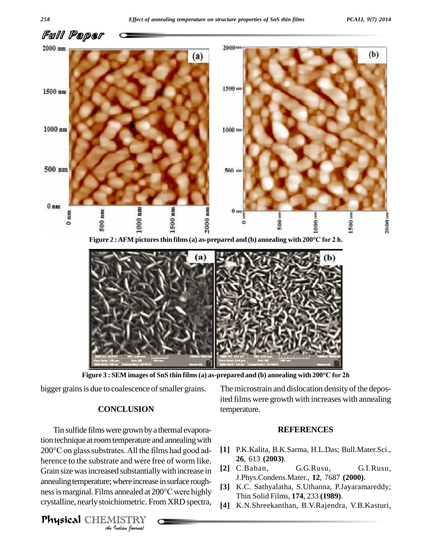



**Figure <sup>3</sup> : SEM images of SnS thin films(a) as-prepared and (b) annealing with <sup>200</sup>°C for 2h**

bigger grains is due to coalescence of smaller grains.

#### **CONCLUSION**

*A* Grain size was increased substantially with increase in [2] <sup>C</sup>. *Indiana*<br> *Indiana*<br> *I*ISTRY<br> *IISTRY*<br> *IISTRY* Tin sulfide filmswere grown bya thermal evaporation technique at room temperature and annealing with Tin sulfide films were grown by a thermal evaporation technique at room temperature and annealing with  $200^{\circ}$ C on glass substrates. All the films had good adherence to the substrate and were free of worm like. annealing temperature; where increase in surface roughnessismarginal. Films annealed at <sup>200</sup>°C were highly crystalline, nearlystoichiometric. From XRD spectra,

The microstrain and dislocation density of the deposited films were growth with increases with annealing temperature.

### **REFERENCES**

- **[1]** P.K.Kalita, B.K.Sarma, H.L.Das; Bull.Mater.Sci., **26**, 613 **(2003)**.
- **[2]** C.Baban, G.G.Rusu, G.I.Rusu, J.Phys.Condens.Mater., **12**, 7687 **(2000)**.
- **[3]** K.C. Sathyalatha, S.Uthanna, P.Jayaramareddy; Thin Solid Films, **174**, 233 **(1989)**.
- **[4]** K.N.Shreekanthan, B.V.Rajendra, V.B.Kasturi,

Physical CHEMISTRY